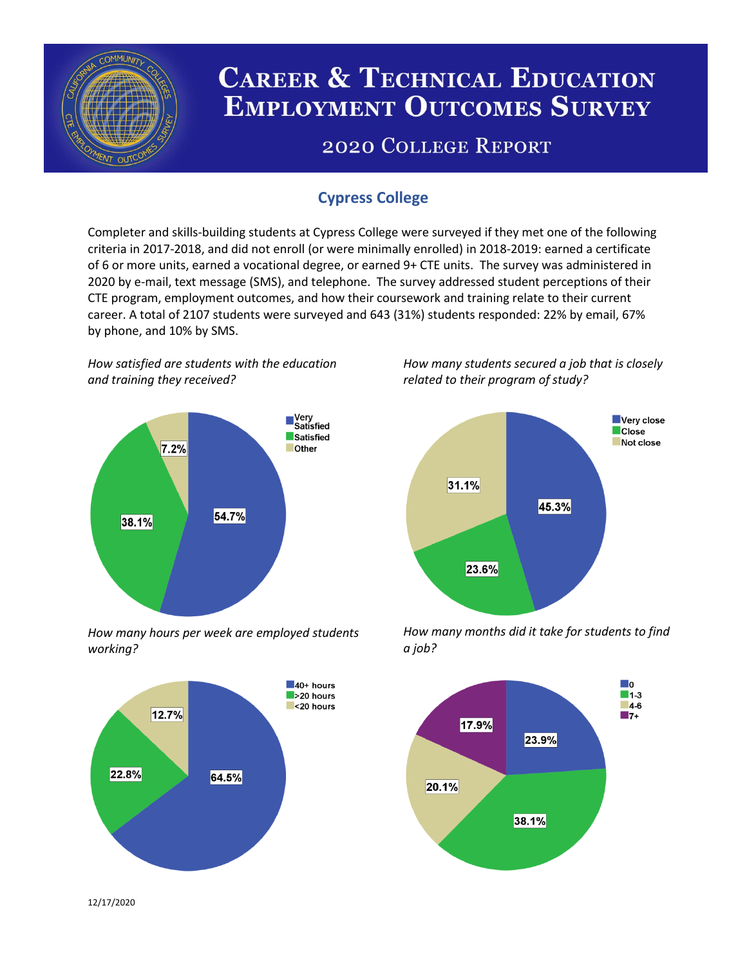

# **CAREER & TECHNICAL EDUCATION EMPLOYMENT OUTCOMES SURVEY**

## **2020 COLLEGE REPORT**

## **Cypress College**

Completer and skills-building students at Cypress College were surveyed if they met one of the following criteria in 2017-2018, and did not enroll (or were minimally enrolled) in 2018-2019: earned a certificate of 6 or more units, earned a vocational degree, or earned 9+ CTE units. The survey was administered in 2020 by e-mail, text message (SMS), and telephone. The survey addressed student perceptions of their CTE program, employment outcomes, and how their coursework and training relate to their current career. A total of 2107 students were surveyed and 643 (31%) students responded: 22% by email, 67% by phone, and 10% by SMS.

*How satisfied are students with the education and training they received?*



*How many hours per week are employed students working?*



*How many students secured a job that is closely related to their program of study?*



*How many months did it take for students to find a job?*



12/17/2020